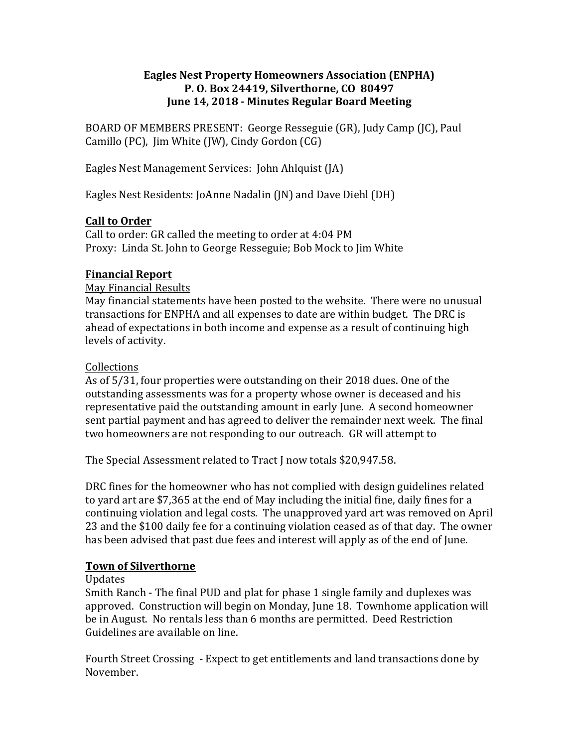## **Eagles Nest Property Homeowners Association (ENPHA) P. O. Box 24419, Silverthorne, CO 80497 June 14, 2018 - Minutes Regular Board Meeting**

BOARD OF MEMBERS PRESENT: George Resseguie (GR), Judy Camp (JC), Paul Camillo (PC), Jim White (JW), Cindy Gordon (CG)

Eagles Nest Management Services: John Ahlquist (JA)

Eagles Nest Residents: JoAnne Nadalin (JN) and Dave Diehl (DH)

# **Call to Order**

Call to order: GR called the meeting to order at 4:04 PM Proxy: Linda St. John to George Resseguie; Bob Mock to Jim White

# **Financial Report**

## May Financial Results

May financial statements have been posted to the website. There were no unusual transactions for ENPHA and all expenses to date are within budget. The DRC is ahead of expectations in both income and expense as a result of continuing high levels of activity.

## Collections

As of 5/31, four properties were outstanding on their 2018 dues. One of the outstanding assessments was for a property whose owner is deceased and his representative paid the outstanding amount in early June. A second homeowner sent partial payment and has agreed to deliver the remainder next week. The final two homeowners are not responding to our outreach. GR will attempt to

The Special Assessment related to Tract J now totals \$20,947.58.

DRC fines for the homeowner who has not complied with design guidelines related to yard art are \$7,365 at the end of May including the initial fine, daily fines for a continuing violation and legal costs. The unapproved yard art was removed on April 23 and the \$100 daily fee for a continuing violation ceased as of that day. The owner has been advised that past due fees and interest will apply as of the end of June.

# **Town of Silverthorne**

## Updates

Smith Ranch - The final PUD and plat for phase 1 single family and duplexes was approved. Construction will begin on Monday, June 18. Townhome application will be in August. No rentals less than 6 months are permitted. Deed Restriction Guidelines are available on line.

Fourth Street Crossing - Expect to get entitlements and land transactions done by November.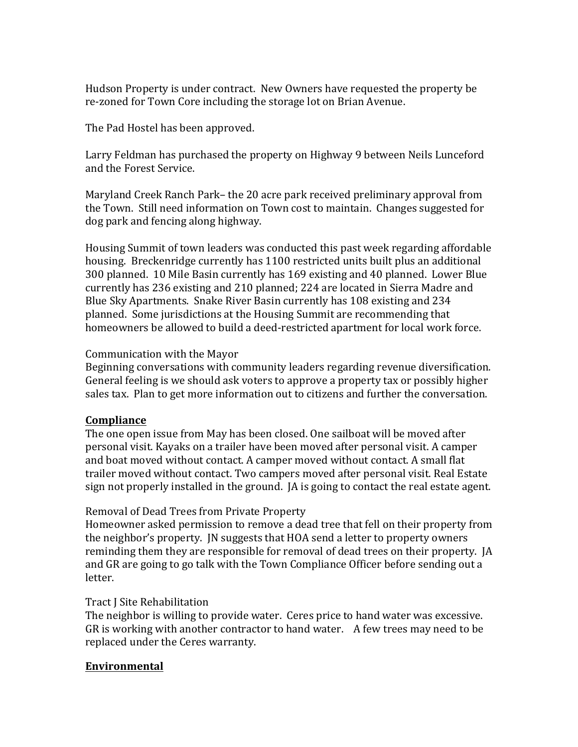Hudson Property is under contract. New Owners have requested the property be re-zoned for Town Core including the storage lot on Brian Avenue.

The Pad Hostel has been approved.

Larry Feldman has purchased the property on Highway 9 between Neils Lunceford and the Forest Service.

Maryland Creek Ranch Park– the 20 acre park received preliminary approval from the Town. Still need information on Town cost to maintain. Changes suggested for dog park and fencing along highway.

Housing Summit of town leaders was conducted this past week regarding affordable housing. Breckenridge currently has 1100 restricted units built plus an additional 300 planned. 10 Mile Basin currently has 169 existing and 40 planned. Lower Blue currently has 236 existing and 210 planned; 224 are located in Sierra Madre and Blue Sky Apartments. Snake River Basin currently has 108 existing and 234 planned. Some jurisdictions at the Housing Summit are recommending that homeowners be allowed to build a deed-restricted apartment for local work force.

## Communication with the Mayor

Beginning conversations with community leaders regarding revenue diversification. General feeling is we should ask voters to approve a property tax or possibly higher sales tax. Plan to get more information out to citizens and further the conversation.

# **Compliance**

The one open issue from May has been closed. One sailboat will be moved after personal visit. Kayaks on a trailer have been moved after personal visit. A camper and boat moved without contact. A camper moved without contact. A small flat trailer moved without contact. Two campers moved after personal visit. Real Estate sign not properly installed in the ground. JA is going to contact the real estate agent.

# Removal of Dead Trees from Private Property

Homeowner asked permission to remove a dead tree that fell on their property from the neighbor's property. IN suggests that HOA send a letter to property owners reminding them they are responsible for removal of dead trees on their property. [A] and GR are going to go talk with the Town Compliance Officer before sending out a letter.

## Tract I Site Rehabilitation

The neighbor is willing to provide water. Ceres price to hand water was excessive. GR is working with another contractor to hand water. A few trees may need to be replaced under the Ceres warranty.

# **Environmental**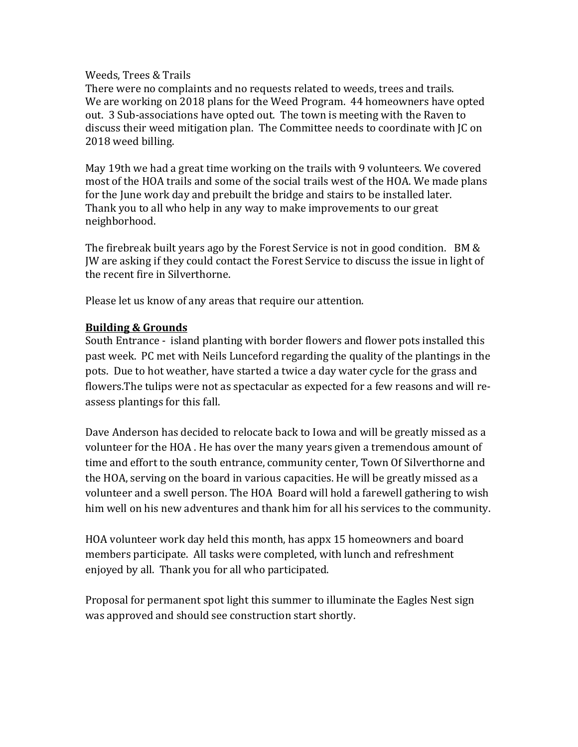#### Weeds, Trees & Trails

There were no complaints and no requests related to weeds, trees and trails. We are working on 2018 plans for the Weed Program. 44 homeowners have opted out. 3 Sub-associations have opted out. The town is meeting with the Raven to discuss their weed mitigation plan. The Committee needs to coordinate with JC on 2018 weed billing.

May 19th we had a great time working on the trails with 9 volunteers. We covered most of the HOA trails and some of the social trails west of the HOA. We made plans for the June work day and prebuilt the bridge and stairs to be installed later. Thank you to all who help in any way to make improvements to our great neighborhood.

The firebreak built years ago by the Forest Service is not in good condition.  $BM &$ IW are asking if they could contact the Forest Service to discuss the issue in light of the recent fire in Silverthorne.

Please let us know of any areas that require our attention.

## **Building & Grounds**

South Entrance - island planting with border flowers and flower pots installed this past week. PC met with Neils Lunceford regarding the quality of the plantings in the pots. Due to hot weather, have started a twice a day water cycle for the grass and flowers. The tulips were not as spectacular as expected for a few reasons and will reassess plantings for this fall.

Dave Anderson has decided to relocate back to Iowa and will be greatly missed as a volunteer for the HOA. He has over the many years given a tremendous amount of time and effort to the south entrance, community center, Town Of Silverthorne and the HOA, serving on the board in various capacities. He will be greatly missed as a volunteer and a swell person. The HOA Board will hold a farewell gathering to wish him well on his new adventures and thank him for all his services to the community.

HOA volunteer work day held this month, has appx 15 homeowners and board members participate. All tasks were completed, with lunch and refreshment enjoyed by all. Thank you for all who participated.

Proposal for permanent spot light this summer to illuminate the Eagles Nest sign was approved and should see construction start shortly.